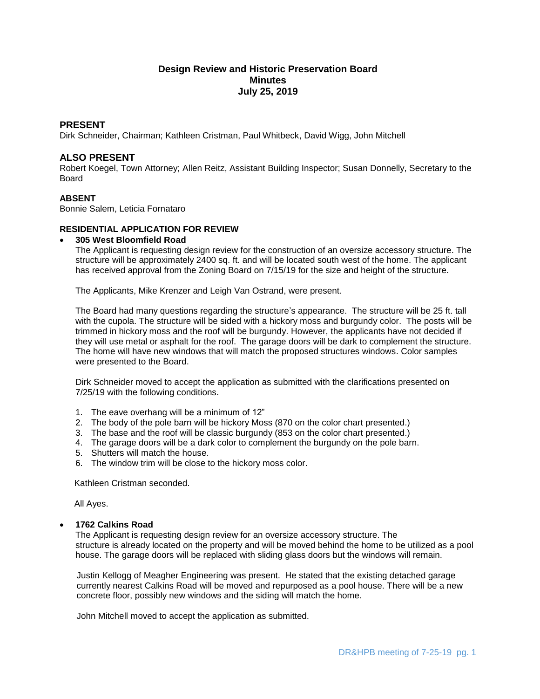# **Design Review and Historic Preservation Board Minutes July 25, 2019**

## **PRESENT**

Dirk Schneider, Chairman; Kathleen Cristman, Paul Whitbeck, David Wigg, John Mitchell

## **ALSO PRESENT**

Robert Koegel, Town Attorney; Allen Reitz, Assistant Building Inspector; Susan Donnelly, Secretary to the Board

## **ABSENT**

Bonnie Salem, Leticia Fornataro

## **RESIDENTIAL APPLICATION FOR REVIEW**

## **305 West Bloomfield Road**

The Applicant is requesting design review for the construction of an oversize accessory structure. The structure will be approximately 2400 sq. ft. and will be located south west of the home. The applicant has received approval from the Zoning Board on 7/15/19 for the size and height of the structure.

The Applicants, Mike Krenzer and Leigh Van Ostrand, were present.

The Board had many questions regarding the structure's appearance. The structure will be 25 ft. tall with the cupola. The structure will be sided with a hickory moss and burgundy color. The posts will be trimmed in hickory moss and the roof will be burgundy. However, the applicants have not decided if they will use metal or asphalt for the roof. The garage doors will be dark to complement the structure. The home will have new windows that will match the proposed structures windows. Color samples were presented to the Board.

Dirk Schneider moved to accept the application as submitted with the clarifications presented on 7/25/19 with the following conditions.

- 1. The eave overhang will be a minimum of 12"
- 2. The body of the pole barn will be hickory Moss (870 on the color chart presented.)
- 3. The base and the roof will be classic burgundy (853 on the color chart presented.)
- 4. The garage doors will be a dark color to complement the burgundy on the pole barn.
- 5. Shutters will match the house.
- 6. The window trim will be close to the hickory moss color.

Kathleen Cristman seconded.

All Ayes.

## **1762 Calkins Road**

The Applicant is requesting design review for an oversize accessory structure. The structure is already located on the property and will be moved behind the home to be utilized as a pool house. The garage doors will be replaced with sliding glass doors but the windows will remain.

Justin Kellogg of Meagher Engineering was present. He stated that the existing detached garage currently nearest Calkins Road will be moved and repurposed as a pool house. There will be a new concrete floor, possibly new windows and the siding will match the home.

John Mitchell moved to accept the application as submitted.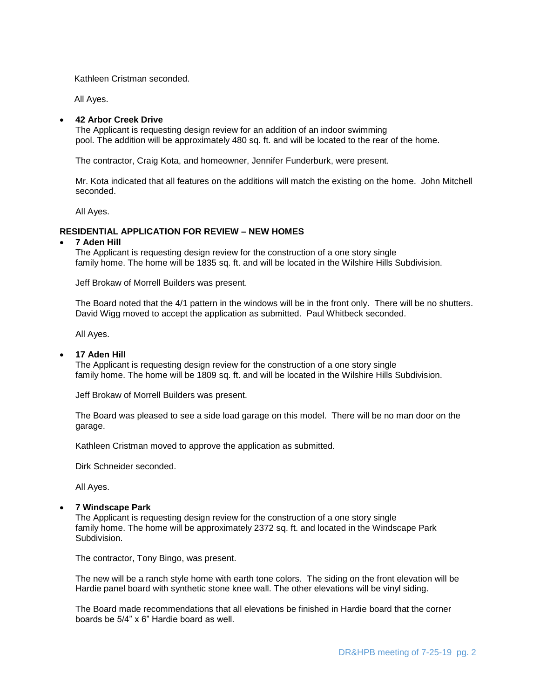Kathleen Cristman seconded.

All Ayes.

## **42 Arbor Creek Drive**

The Applicant is requesting design review for an addition of an indoor swimming pool. The addition will be approximately 480 sq. ft. and will be located to the rear of the home.

The contractor, Craig Kota, and homeowner, Jennifer Funderburk, were present.

Mr. Kota indicated that all features on the additions will match the existing on the home. John Mitchell seconded.

All Ayes.

## **RESIDENTIAL APPLICATION FOR REVIEW – NEW HOMES**

#### **7 Aden Hill**

The Applicant is requesting design review for the construction of a one story single family home. The home will be 1835 sq. ft. and will be located in the Wilshire Hills Subdivision.

Jeff Brokaw of Morrell Builders was present.

The Board noted that the 4/1 pattern in the windows will be in the front only. There will be no shutters. David Wigg moved to accept the application as submitted. Paul Whitbeck seconded.

All Ayes.

## **17 Aden Hill**

The Applicant is requesting design review for the construction of a one story single family home. The home will be 1809 sq. ft. and will be located in the Wilshire Hills Subdivision.

Jeff Brokaw of Morrell Builders was present.

The Board was pleased to see a side load garage on this model. There will be no man door on the garage.

Kathleen Cristman moved to approve the application as submitted.

Dirk Schneider seconded.

All Ayes.

#### **7 Windscape Park**

The Applicant is requesting design review for the construction of a one story single family home. The home will be approximately 2372 sq. ft. and located in the Windscape Park Subdivision.

The contractor, Tony Bingo, was present.

The new will be a ranch style home with earth tone colors. The siding on the front elevation will be Hardie panel board with synthetic stone knee wall. The other elevations will be vinyl siding.

The Board made recommendations that all elevations be finished in Hardie board that the corner boards be 5/4" x 6" Hardie board as well.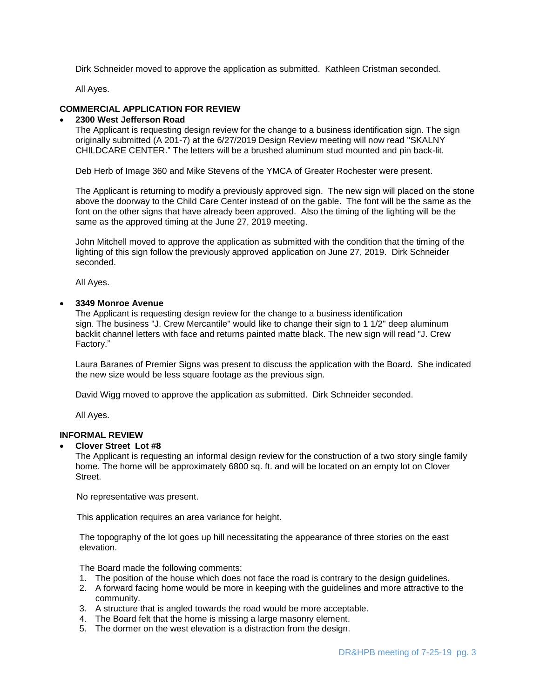Dirk Schneider moved to approve the application as submitted. Kathleen Cristman seconded.

All Ayes.

# **COMMERCIAL APPLICATION FOR REVIEW**

## **2300 West Jefferson Road**

The Applicant is requesting design review for the change to a business identification sign. The sign originally submitted (A 201-7) at the 6/27/2019 Design Review meeting will now read "SKALNY CHILDCARE CENTER." The letters will be a brushed aluminum stud mounted and pin back-lit.

Deb Herb of Image 360 and Mike Stevens of the YMCA of Greater Rochester were present.

The Applicant is returning to modify a previously approved sign. The new sign will placed on the stone above the doorway to the Child Care Center instead of on the gable. The font will be the same as the font on the other signs that have already been approved. Also the timing of the lighting will be the same as the approved timing at the June 27, 2019 meeting.

John Mitchell moved to approve the application as submitted with the condition that the timing of the lighting of this sign follow the previously approved application on June 27, 2019. Dirk Schneider seconded.

All Ayes.

## **3349 Monroe Avenue**

The Applicant is requesting design review for the change to a business identification sign. The business "J. Crew Mercantile" would like to change their sign to 1 1/2" deep aluminum backlit channel letters with face and returns painted matte black. The new sign will read "J. Crew Factory."

Laura Baranes of Premier Signs was present to discuss the application with the Board. She indicated the new size would be less square footage as the previous sign.

David Wigg moved to approve the application as submitted. Dirk Schneider seconded.

All Ayes.

# **INFORMAL REVIEW**

## **Clover Street Lot #8**

The Applicant is requesting an informal design review for the construction of a two story single family home. The home will be approximately 6800 sq. ft. and will be located on an empty lot on Clover Street.

No representative was present.

This application requires an area variance for height.

The topography of the lot goes up hill necessitating the appearance of three stories on the east elevation.

The Board made the following comments:

- 1. The position of the house which does not face the road is contrary to the design guidelines.
- 2. A forward facing home would be more in keeping with the guidelines and more attractive to the community.
- 3. A structure that is angled towards the road would be more acceptable.
- 4. The Board felt that the home is missing a large masonry element.
- 5. The dormer on the west elevation is a distraction from the design.